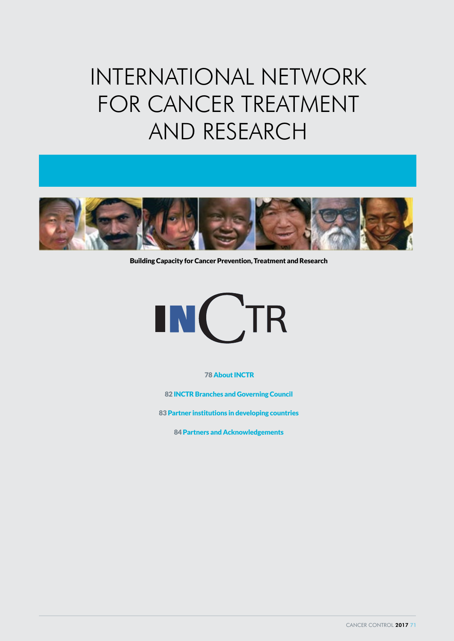# INTERNATIONAL NETWORK FOR CANCER TREATMENT AND RESEARCH



Building Capacity for Cancer Prevention, Treatment and Research



78 About INCTR

82 INCTR Branches and Governing Council

83 Partner institutions in developing countries

84 Partners and Acknowledgements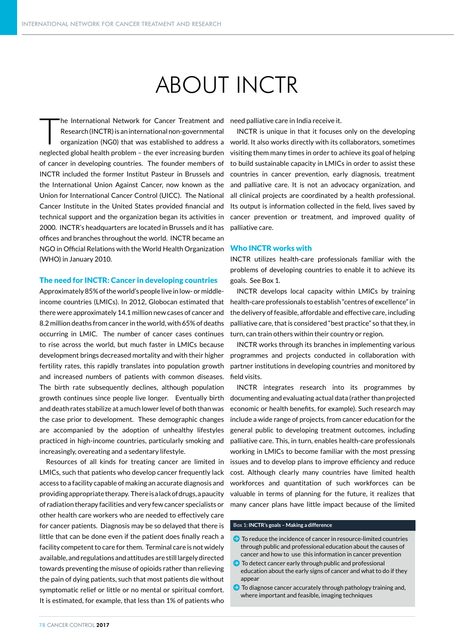## ABOUT INCTR

The International Network for Cancer Treatment and<br>
Research (INCTR) is an international non-governmental<br>
organization (NG0) that was established to address a Research (INCTR) is an international non-governmental neglected global health problem – the ever increasing burden of cancer in developing countries. The founder members of INCTR included the former Institut Pasteur in Brussels and the International Union Against Cancer, now known as the Union for International Cancer Control (UICC). The National Cancer Institute in the United States provided financial and technical support and the organization began its activities in 2000. INCTR's headquarters are located in Brussels and it has offices and branches throughout the world. INCTR became an NGO in Official Relations with the World Health Organization (WHO) in January 2010.

### The need for INCTR: Cancer in developing countries

Approximately 85% of the world's people live in low- or middleincome countries (LMICs). In 2012, Globocan estimated that there were approximately 14.1 million new cases of cancer and 8.2 million deaths from cancer in the world, with 65% of deaths occurring in LMIC. The number of cancer cases continues to rise across the world, but much faster in LMICs because development brings decreased mortality and with their higher fertility rates, this rapidly translates into population growth and increased numbers of patients with common diseases. The birth rate subsequently declines, although population growth continues since people live longer. Eventually birth and death rates stabilize at a much lower level of both than was the case prior to development. These demographic changes are accompanied by the adoption of unhealthy lifestyles practiced in high-income countries, particularly smoking and increasingly, overeating and a sedentary lifestyle.

Resources of all kinds for treating cancer are limited in LMICs, such that patients who develop cancer frequently lack access to a facility capable of making an accurate diagnosis and providing appropriate therapy. There is a lack of drugs, a paucity of radiation therapy facilities and very few cancer specialists or other health care workers who are needed to effectively care for cancer patients. Diagnosis may be so delayed that there is little that can be done even if the patient does finally reach a facility competent to care for them. Terminal care is not widely available, and regulations and attitudes are still largely directed towards preventing the misuse of opioids rather than relieving the pain of dying patients, such that most patients die without symptomatic relief or little or no mental or spiritual comfort. It is estimated, for example, that less than 1% of patients who

need palliative care in India receive it.

INCTR is unique in that it focuses only on the developing world. It also works directly with its collaborators, sometimes visiting them many times in order to achieve its goal of helping to build sustainable capacity in LMICs in order to assist these countries in cancer prevention, early diagnosis, treatment and palliative care. It is not an advocacy organization, and all clinical projects are coordinated by a health professional. Its output is information collected in the field, lives saved by cancer prevention or treatment, and improved quality of palliative care.

### Who INCTR works with

INCTR utilizes health-care professionals familiar with the problems of developing countries to enable it to achieve its goals. See Box 1.

INCTR develops local capacity within LMICs by training health-care professionals to establish "centres of excellence" in the delivery of feasible, affordable and effective care, including palliative care, that is considered "best practice" so that they, in turn, can train others within their country or region.

INCTR works through its branches in implementing various programmes and projects conducted in collaboration with partner institutions in developing countries and monitored by field visits.

INCTR integrates research into its programmes by documenting and evaluating actual data (rather than projected economic or health benefits, for example). Such research may include a wide range of projects, from cancer education for the general public to developing treatment outcomes, including palliative care. This, in turn, enables health-care professionals working in LMICs to become familiar with the most pressing issues and to develop plans to improve efficiency and reduce cost. Although clearly many countries have limited health workforces and quantitation of such workforces can be valuable in terms of planning for the future, it realizes that many cancer plans have little impact because of the limited

### **Box 1: INCTR's goals – Making a difference**

- $\bullet$  To reduce the incidence of cancer in resource-limited countries through public and professional education about the causes of cancer and how to use this information in cancer prevention
- $\bullet$  To detect cancer early through public and professional education about the early signs of cancer and what to do if they appear
- $\bigodot$  To diagnose cancer accurately through pathology training and, where important and feasible, imaging techniques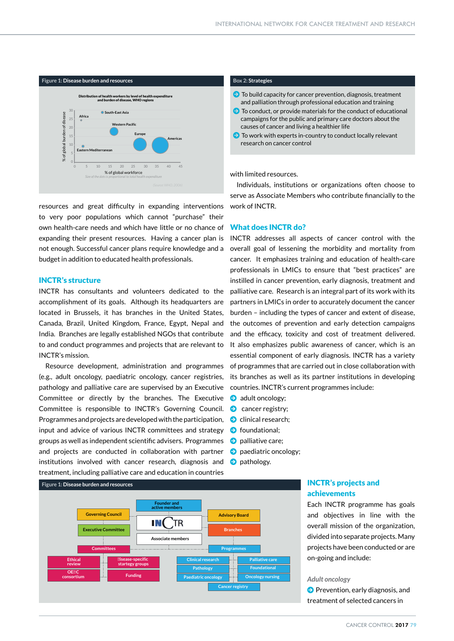

resources and great difficulty in expanding interventions to very poor populations which cannot "purchase" their own health-care needs and which have little or no chance of expanding their present resources. Having a cancer plan is not enough. Successful cancer plans require knowledge and a budget in addition to educated health professionals.

### INCTR's structure

INCTR has consultants and volunteers dedicated to the accomplishment of its goals. Although its headquarters are located in Brussels, it has branches in the United States, Canada, Brazil, United Kingdom, France, Egypt, Nepal and India. Branches are legally established NGOs that contribute to and conduct programmes and projects that are relevant to INCTR's mission. *Lyon, France: International Agency for Research on Cancer; 2010. Available from: http://globocan.iarc.fr Accessed: 8 March 2013.*

> Resource development, administration and programmes (e.g., adult oncology, paediatric oncology, cancer registries, pathology and palliative care are supervised by an Executive Committee or directly by the branches. The Executive Committee is responsible to INCTR's Governing Council. Programmes and projects are developed with the participation, input and advice of various INCTR committees and strategy groups as well as independent scientific advisers. Programmes and projects are conducted in collaboration with partner institutions involved with cancer research, diagnosis and treatment, including palliative care and education in countries

- $\bullet$  To build capacity for cancer prevention, diagnosis, treatment and palliation through professional education and training
- $\bullet$  To conduct, or provide materials for the conduct of educational campaigns for the public and primary care doctors about the causes of cancer and living a healthier life
- $\bigodot$  To work with experts in-country to conduct locally relevant research on cancer control

with limited resources.

Individuals, institutions or organizations often choose to serve as Associate Members who contribute financially to the work of INCTR.

### What does INCTR do?

INCTR addresses all aspects of cancer control with the overall goal of lessening the morbidity and mortality from cancer. It emphasizes training and education of health-care professionals in LMICs to ensure that "best practices" are instilled in cancer prevention, early diagnosis, treatment and palliative care. Research is an integral part of its work with its partners in LMICs in order to accurately document the cancer burden - including the types of cancer and extent of disease, the outcomes of prevention and early detection campaigns and the efficacy, toxicity and cost of treatment delivered. It also emphasizes public awareness of cancer, which is an essential component of early diagnosis. INCTR has a variety of programmes that are carried out in close collaboration with its branches as well as its partner institutions in developing countries. INCTR's current programmes include: **21261518**

- **D** adult oncology;
- $\Theta$  cancer registry;
- $\Theta$  clinical research; *Adapted with permission from:*
- **D** foundational;
- **D** palliative care; 2010. Available from: *http://globocan.iarc.fr Accessed: 8 March* 2013.
- $\bullet$  paediatric oncology;
- $\bullet$  pathology.



### **INCTR's projects and** achievements

Each **INCTR** programme has goals and objectives in line with the overall mission of the organization, divided into separate projects. Many **4161941** projects have been conducted or are on-going and include: Number of new cancers in 2030 (all ages)

### Adult oncology **contains a state of the state of the state**

 $\bullet$  Prevention, early diagnosis, and treatment of selected cancers in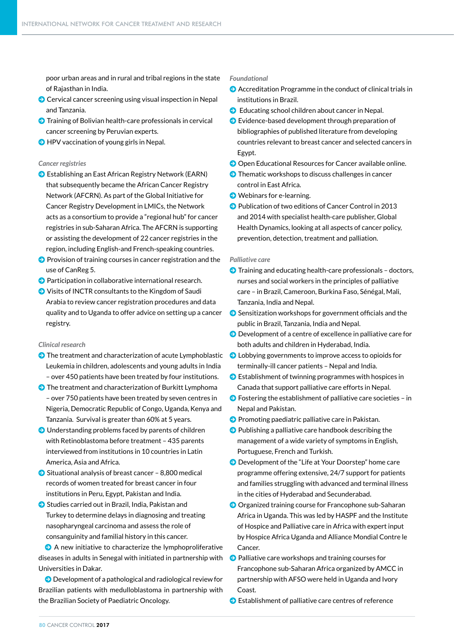poor urban areas and in rural and tribal regions in the state of Rajasthan in India.

- $\Theta$  Cervical cancer screening using visual inspection in Nepal and Tanzania.
- $\bigodot$  Training of Bolivian health-care professionals in cervical cancer screening by Peruvian experts.
- $\Theta$  HPV vaccination of young girls in Nepal.

### *Cancer registries*

- S Establishing an East African Registry Network (EARN) that subsequently became the African Cancer Registry Network (AFCRN). As part of the Global Initiative for Cancer Registry Development in LMICs, the Network acts as a consortium to provide a "regional hub" for cancer registries in sub-Saharan Africa. The AFCRN is supporting or assisting the development of 22 cancer registries in the region, including English-and French-speaking countries.
- $\Theta$  Provision of training courses in cancer registration and the use of CanReg 5.
- $\bullet$  Participation in collaborative international research.
- $\bullet$  Visits of INCTR consultants to the Kingdom of Saudi Arabia to review cancer registration procedures and data quality and to Uganda to offer advice on setting up a cancer registry.

### *Clinical research*

- $\bullet$  The treatment and characterization of acute Lymphoblastic Leukemia in children, adolescents and young adults in India – over 450 patients have been treated by four institutions.
- $\bigodot$  The treatment and characterization of Burkitt Lymphoma – over 750 patients have been treated by seven centres in Nigeria, Democratic Republic of Congo, Uganda, Kenya and Tanzania. Survival is greater than 60% at 5 years.
- $\Theta$  Understanding problems faced by parents of children with Retinoblastoma before treatment – 435 parents interviewed from institutions in 10 countries in Latin America, Asia and Africa.
- $\bullet$  Situational analysis of breast cancer 8,800 medical records of women treated for breast cancer in four institutions in Peru, Egypt, Pakistan and India.
- **D** Studies carried out in Brazil, India, Pakistan and Turkey to determine delays in diagnosing and treating nasopharyngeal carcinoma and assess the role of consanguinity and familial history in this cancer.

 $\bullet$  A new initiative to characterize the lymphoproliferative diseases in adults in Senegal with initiated in partnership with Universities in Dakar.

 $\bullet$  Development of a pathological and radiological review for Brazilian patients with medulloblastoma in partnership with the Brazilian Society of Paediatric Oncology.

### *Foundational*

- $\bullet$  Accreditation Programme in the conduct of clinical trials in institutions in Brazil.
- $\bullet$  Educating school children about cancer in Nepal.
- $\bullet$  Evidence-based development through preparation of bibliographies of published literature from developing countries relevant to breast cancer and selected cancers in Egypt.
- **O** Open Educational Resources for Cancer available online.
- $\bullet$  Thematic workshops to discuss challenges in cancer control in East Africa.
- $\bullet$  Webinars for e-learning.
- **D** Publication of two editions of Cancer Control in 2013 and 2014 with specialist health-care publisher, Global Health Dynamics, looking at all aspects of cancer policy, prevention, detection, treatment and palliation.

### *Palliative care*

- $\bullet$  Training and educating health-care professionals doctors, nurses and social workers in the principles of palliative care – in Brazil, Cameroon, Burkina Faso, Sénégal, Mali, Tanzania, India and Nepal.
- $\bullet$  Sensitization workshops for government officials and the public in Brazil, Tanzania, India and Nepal.
- $\Theta$  Development of a centre of excellence in palliative care for both adults and children in Hyderabad, India.
- $\bullet$  Lobbying governments to improve access to opioids for terminally-ill cancer patients – Nepal and India.
- $\bigcirc$  Establishment of twinning programmes with hospices in Canada that support palliative care efforts in Nepal.
- $\bullet$  Fostering the establishment of palliative care societies in Nepal and Pakistan.
- $\bullet$  Promoting paediatric palliative care in Pakistan.
- $\bullet$  Publishing a palliative care handbook describing the management of a wide variety of symptoms in English, Portuguese, French and Turkish.
- Development of the "Life at Your Doorstep" home care programme offering extensive, 24/7 support for patients and families struggling with advanced and terminal illness in the cities of Hyderabad and Secunderabad.
- **O** Organized training course for Francophone sub-Saharan Africa in Uganda. This was led by HASPF and the Institute of Hospice and Palliative care in Africa with expert input by Hospice Africa Uganda and Alliance Mondial Contre le Cancer.
- $\Theta$  Palliative care workshops and training courses for Francophone sub-Saharan Africa organized by AMCC in partnership with AFSO were held in Uganda and Ivory Coast.
- $\bullet$  Establishment of palliative care centres of reference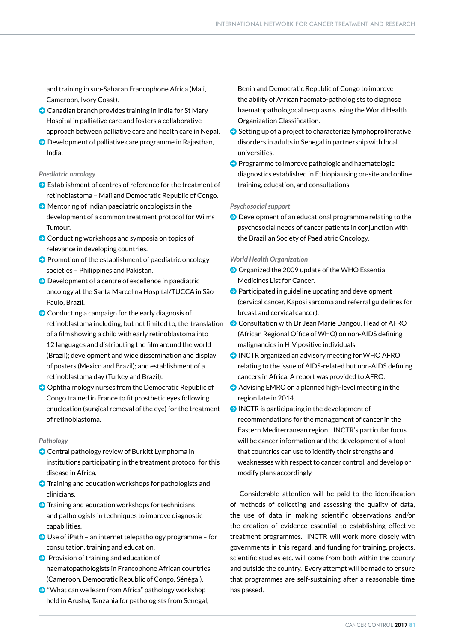and training in sub-Saharan Francophone Africa (Mali, Cameroon, Ivory Coast).

- $\odot$  Canadian branch provides training in India for St Mary Hospital in palliative care and fosters a collaborative approach between palliative care and health care in Nepal.
- $\odot$  Development of palliative care programme in Rajasthan, India.

### *Paediatric oncology*

- $\bullet$  Establishment of centres of reference for the treatment of retinoblastoma – Mali and Democratic Republic of Congo.
- $\Theta$  Mentoring of Indian paediatric oncologists in the development of a common treatment protocol for Wilms Tumour.
- $\odot$  Conducting workshops and symposia on topics of relevance in developing countries.
- $\Theta$  Promotion of the establishment of paediatric oncology societies – Philippines and Pakistan.
- $\Theta$  Development of a centre of excellence in paediatric oncology at the Santa Marcelina Hospital/TUCCA in São Paulo, Brazil.
- $\odot$  Conducting a campaign for the early diagnosis of retinoblastoma including, but not limited to, the translation of a film showing a child with early retinoblastoma into 12 languages and distributing the film around the world (Brazil); development and wide dissemination and display of posters (Mexico and Brazil); and establishment of a retinoblastoma day (Turkey and Brazil).
- $\odot$  Ophthalmology nurses from the Democratic Republic of Congo trained in France to fit prosthetic eyes following enucleation (surgical removal of the eye) for the treatment of retinoblastoma.

### *Pathology*

- **O** Central pathology review of Burkitt Lymphoma in institutions participating in the treatment protocol for this disease in Africa.
- $\bullet$  Training and education workshops for pathologists and clinicians.
- $\Theta$  Training and education workshops for technicians and pathologists in techniques to improve diagnostic capabilities.
- $\bigodot$  Use of iPath an internet telepathology programme for consultation, training and education.
- $\bullet$  Provision of training and education of haematopathologists in Francophone African countries (Cameroon, Democratic Republic of Congo, Sénégal).
- $\odot$  "What can we learn from Africa" pathology workshop held in Arusha, Tanzania for pathologists from Senegal,

Benin and Democratic Republic of Congo to improve the ability of African haemato-pathologists to diagnose haematopathologocal neoplasms using the World Health Organization Classification.

- $\bullet$  Setting up of a project to characterize lymphoproliferative disorders in adults in Senegal in partnership with local universities.
- **O** Programme to improve pathologic and haematologic diagnostics established in Ethiopia using on-site and online training, education, and consultations.

### *Psychosocial support*

 $\bigodot$  Development of an educational programme relating to the psychosocial needs of cancer patients in conjunction with the Brazilian Society of Paediatric Oncology.

### *World Health Organization*

- O Organized the 2009 update of the WHO Essential Medicines List for Cancer.
- $\bullet$  Participated in guideline updating and development (cervical cancer, Kaposi sarcoma and referral guidelines for breast and cervical cancer).
- **O** Consultation with Dr Jean Marie Dangou, Head of AFRO (African Regional Office of WHO) on non-AIDS defining malignancies in HIV positive individuals.
- $\odot$  INCTR organized an advisory meeting for WHO AFRO relating to the issue of AIDS-related but non-AIDS defining cancers in Africa. A report was provided to AFRO.
- $\odot$  Advising EMRO on a planned high-level meeting in the region late in 2014.
- $\bigcirc$  INCTR is participating in the development of recommendations for the management of cancer in the Eastern Mediterranean region. INCTR's particular focus will be cancer information and the development of a tool that countries can use to identify their strengths and weaknesses with respect to cancer control, and develop or modify plans accordingly.

 Considerable attention will be paid to the identification of methods of collecting and assessing the quality of data, the use of data in making scientific observations and/or the creation of evidence essential to establishing effective treatment programmes. INCTR will work more closely with governments in this regard, and funding for training, projects, scientific studies etc. will come from both within the country and outside the country. Every attempt will be made to ensure that programmes are self-sustaining after a reasonable time has passed.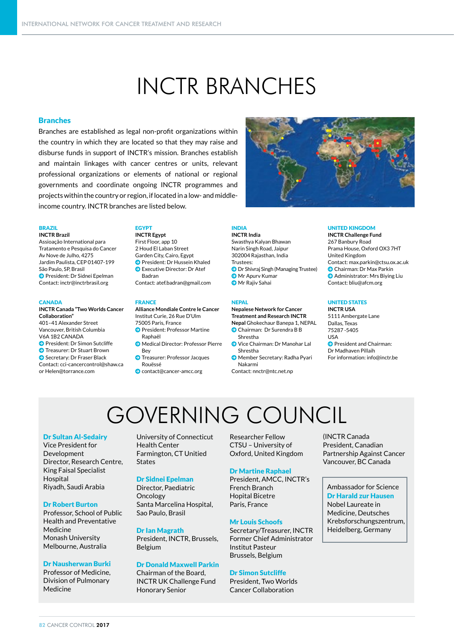### INCTR BRANCHES

### **Branches**

Branches are established as legal non-profit organizations within the country in which they are located so that they may raise and disburse funds in support of INCTR's mission. Branches establish and maintain linkages with cancer centres or units, relevant professional organizations or elements of national or regional governments and coordinate ongoing INCTR programmes and projects within the country or region, if located in a low- and middleincome country. INCTR branches are listed below.

**INCTR Brazil** Assioação International para Tratamento e Pesquisa do Cancer Av Nove de Julho, 4275 Jardim Paulista, CEP 01407-199 São Paulo, SP, Brasil **D** President: Dr Sidnei Epelman Contact: inctr@inctrbrasil.org

#### **CANADA**

**INCTR Canada "Two Worlds Cancer Collaboration"** 401–41 Alexander Street Vancouver, British Columbia V6A 1B2 CANADA **D** President: Dr Simon Sutcliffe **D** Treasurer: Dr Stuart Brown **O** Secretary: Dr Fraser Black Contact: cci-cancercontrol@shaw.ca

or Helen@torrance.com

### EGYPT

**Offices and Branches Collaborating Units** BRAZIL **INCTR Egypt** First Floor, app 10 2 Houd El Laban Street Garden City, Cairo, Egypt **O** President: Dr Hussein Khaled **O** Executive Director: Dr Atef Badran Contact: atef.badran@gmail.com

### FRANCE

**Alliance Mondiale Contre le Cancer** Institut Curie, 26 Rue D'Ulm

- 75005 Paris, France **O** President: Professor Martine
- Raphaël
- **J** Medical Director: Professor Pierre Bey
- **D** Treasurer: Professor Jacques
- Rouëssé
- J contact@cancer-amcc.org

### INDIA

**INCTR India** Swasthya Kalyan Bhawan Narin Singh Road, Jaipur 302004 Rajasthan, India Trustees: **D** Dr Shivraj Singh (Managing Trustee) **D** Mr Apurv Kumar **O** Mr Rajiv Sahai

### **NEPAL**

**Nepalese Network for Cancer Treatment and Research INCTR Nepal** Ghokechaur Banepa 1, NEPAL Chairman: Dr Surendra B B

- Shrestha
- J Vice Chairman: Dr Manohar Lal Shrestha
- J Member Secretary: Radha Pyari Nakarmi
- Contact: nnctr@ntc.net.np

### UNITED KINGDOM

**INCTR Challenge Fund** 267 Banbury Road Prama House, Oxford OX3 7HT United Kingdom Contact: max.parkin@ctsu.ox.ac.uk **O** Chairman: Dr Max Parkin **Administrator: Mrs Biying Liu** Contact: bliu@afcm.org

### UNITED STATES

**INCTR USA** 5111 Ambergate Lane Dallas, Texas 75287 -5405 USA **O** President and Chairman:

Dr Madhaven Pillaih For information: info@inctr.be

## GOVERNING COUNCIL

### Dr Sultan Al-Sedairy

Vice President for Development Director, Research Centre, King Faisal Specialist Hospital Riyadh, Saudi Arabia

### Dr Robert Burton

Professor, School of Public Health and Preventative Medicine Monash University Melbourne, Australia

### Dr Nausherwan Burki

Professor of Medicine, Division of Pulmonary Medicine

University of Connecticut Health Center Farmington, CT Unitied States

### Dr Sidnei Epelman

Director, Paediatric Oncology Santa Marcelina Hospital, Sao Paulo, Brasil

### Dr Ian Magrath

President, INCTR, Brussels, Belgium

### Dr Donald Maxwell Parkin

Chairman of the Board, INCTR UK Challenge Fund Honorary Senior

Researcher Fellow CTSU – University of Oxford, United Kingdom

### Dr Martine Raphael

President, AMCC, INCTR's French Branch Hopital Bicetre Paris, France

### Mr Louis Schoofs

Secretary/Treasurer, INCTR Former Chief Administrator Institut Pasteur Brussels, Belgium

### Dr Simon Sutcliffe

President, Two Worlds Cancer Collaboration

(INCTR Canada President, Canadian Partnership Against Cancer Vancouver, BC Canada

### Ambassador for Science Dr Harald zur Hausen Nobel Laureate in Medicine, Deutsches Krebsforschungszentrum, Heidelberg, Germany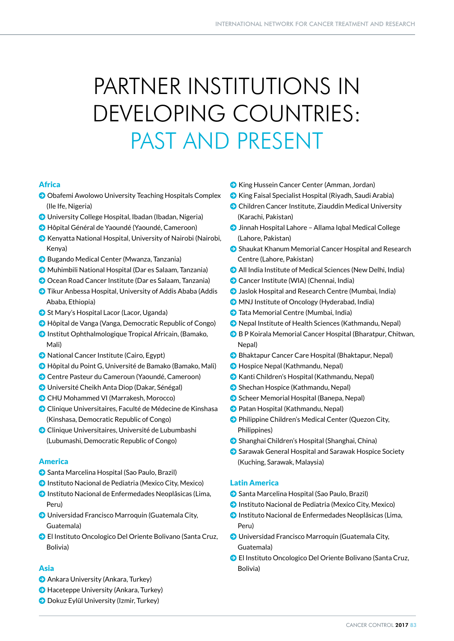# PARTNER INSTITUTIONS IN DEVELOPING COUNTRIES: PAST AND PRESENT

### Africa

- Obafemi Awolowo University Teaching Hospitals Complex (Ile Ife, Nigeria)
- J University College Hospital, Ibadan (Ibadan, Nigeria)
- J Hôpital Général de Yaoundé (Yaoundé, Cameroon)
- $\bullet$  Kenyatta National Hospital, University of Nairobi (Nairobi, Kenya)
- J Bugando Medical Center (Mwanza, Tanzania)
- J Muhimbili National Hospital (Dar es Salaam, Tanzania)
- **O** Ocean Road Cancer Institute (Dar es Salaam, Tanzania)
- **D** Tikur Anbessa Hospital, University of Addis Ababa (Addis Ababa, Ethiopia)
- **St Mary's Hospital Lacor (Lacor, Uganda)**
- J Hôpital de Vanga (Vanga, Democratic Republic of Congo)
- J Institut Ophthalmologique Tropical Africain, (Bamako, Mali)
- **D** National Cancer Institute (Cairo, Egypt)
- J Hôpital du Point G, Université de Bamako (Bamako, Mali)
- **O** Centre Pasteur du Cameroun (Yaoundé, Cameroon)
- J Université Cheikh Anta Diop (Dakar, Sénégal)
- **O** CHU Mohammed VI (Marrakesh, Morocco)
- **O** Clinique Universitaires, Faculté de Médecine de Kinshasa (Kinshasa, Democratic Republic of Congo)
- **O** Clinique Universitaires, Université de Lubumbashi (Lubumashi, Democratic Republic of Congo)

### America

- **O** Santa Marcelina Hospital (Sao Paulo, Brazil)
- **O** Instituto Nacional de Pediatria (Mexico City, Mexico)
- J Instituto Nacional de Enfermedades Neoplãsicas (Lima, Peru)
- **O** Universidad Francisco Marroquin (Guatemala City, Guatemala)
- **O** El Instituto Oncologico Del Oriente Bolivano (Santa Cruz, Bolivia)

### Asia

- **C** Ankara University (Ankara, Turkey)
- **D** Haceteppe University (Ankara, Turkey)
- **D** Dokuz Eylül University (Izmir, Turkey)
- J King Hussein Cancer Center (Amman, Jordan)
- J King Faisal Specialist Hospital (Riyadh, Saudi Arabia)
- J Children Cancer Institute, Ziauddin Medical University (Karachi, Pakistan)
- J Jinnah Hospital Lahore Allama Iqbal Medical College (Lahore, Pakistan)
- **C** Shaukat Khanum Memorial Cancer Hospital and Research Centre (Lahore, Pakistan)
- J All India Institute of Medical Sciences (New Delhi, India)
- **O** Cancer Institute (WIA) (Chennai, India)
- $\bullet$  Jaslok Hospital and Research Centre (Mumbai, India)
- J MNJ Institute of Oncology (Hyderabad, India)
- **J** Tata Memorial Centre (Mumbai, India)
- J Nepal Institute of Health Sciences (Kathmandu, Nepal)
- B P Koirala Memorial Cancer Hospital (Bharatpur, Chitwan, Nepal)
- **D** Bhaktapur Cancer Care Hospital (Bhaktapur, Nepal)
- **J** Hospice Nepal (Kathmandu, Nepal)
- J Kanti Children's Hospital (Kathmandu, Nepal)
- Shechan Hospice (Kathmandu, Nepal)
- **C** Scheer Memorial Hospital (Banepa, Nepal)
- **D** Patan Hospital (Kathmandu, Nepal)
- **O** Philippine Children's Medical Center (Quezon City, Philippines)
- **O** Shanghai Children's Hospital (Shanghai, China)
- Sarawak General Hospital and Sarawak Hospice Society (Kuching, Sarawak, Malaysia)

### Latin America

- Santa Marcelina Hospital (Sao Paulo, Brazil)
- **O** Instituto Nacional de Pediatria (Mexico City, Mexico)
- **O** Instituto Nacional de Enfermedades Neoplãsicas (Lima, Peru)
- **O** Universidad Francisco Marroquin (Guatemala City, Guatemala)
- J El Instituto Oncologico Del Oriente Bolivano (Santa Cruz, Bolivia)